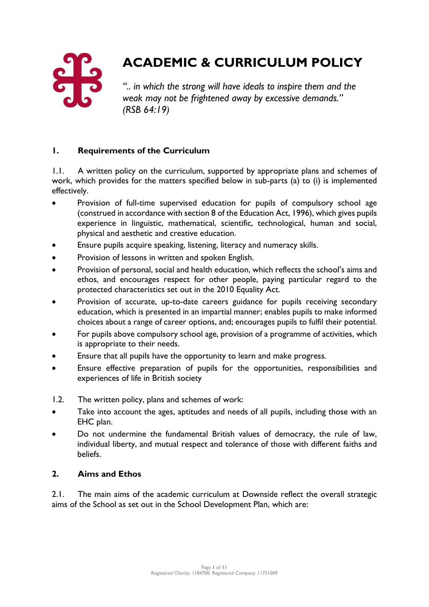

# **ACADEMIC & CURRICULUM POLICY**

*".. in which the strong will have ideals to inspire them and the weak may not be frightened away by excessive demands." (RSB 64:19)*

# **1. Requirements of the Curriculum**

1.1. A written policy on the curriculum, supported by appropriate plans and schemes of work, which provides for the matters specified below in sub-parts (a) to (i) is implemented effectively.

- Provision of full-time supervised education for pupils of compulsory school age (construed in accordance with section 8 of the Education Act, 1996), which gives pupils experience in linguistic, mathematical, scientific, technological, human and social, physical and aesthetic and creative education.
- Ensure pupils acquire speaking, listening, literacy and numeracy skills.
- Provision of lessons in written and spoken English.
- Provision of personal, social and health education, which reflects the school's aims and ethos, and encourages respect for other people, paying particular regard to the protected characteristics set out in the 2010 Equality Act.
- Provision of accurate, up-to-date careers guidance for pupils receiving secondary education, which is presented in an impartial manner; enables pupils to make informed choices about a range of career options, and; encourages pupils to fulfil their potential.
- For pupils above compulsory school age, provision of a programme of activities, which is appropriate to their needs.
- Ensure that all pupils have the opportunity to learn and make progress.
- Ensure effective preparation of pupils for the opportunities, responsibilities and experiences of life in British society
- 1.2. The written policy, plans and schemes of work:
- Take into account the ages, aptitudes and needs of all pupils, including those with an EHC plan.
- Do not undermine the fundamental British values of democracy, the rule of law, individual liberty, and mutual respect and tolerance of those with different faiths and beliefs.

# **2. Aims and Ethos**

2.1. The main aims of the academic curriculum at Downside reflect the overall strategic aims of the School as set out in the School Development Plan, which are: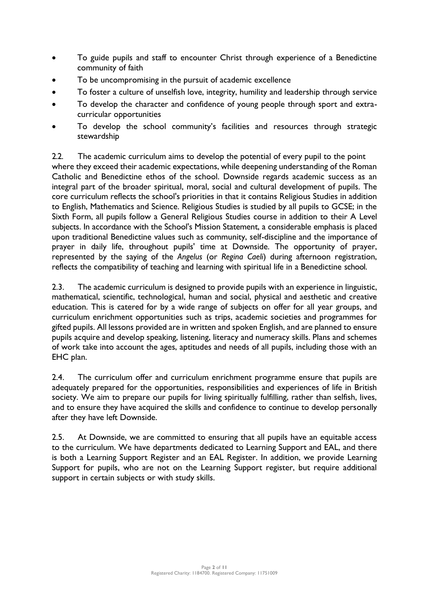- To guide pupils and staff to encounter Christ through experience of a Benedictine community of faith
- To be uncompromising in the pursuit of academic excellence
- To foster a culture of unselfish love, integrity, humility and leadership through service
- To develop the character and confidence of young people through sport and extracurricular opportunities
- To develop the school community's facilities and resources through strategic stewardship

2.2. The academic curriculum aims to develop the potential of every pupil to the point where they exceed their academic expectations, while deepening understanding of the Roman Catholic and Benedictine ethos of the school. Downside regards academic success as an integral part of the broader spiritual, moral, social and cultural development of pupils. The core curriculum reflects the school's priorities in that it contains Religious Studies in addition to English, Mathematics and Science. Religious Studies is studied by all pupils to GCSE; in the Sixth Form, all pupils follow a General Religious Studies course in addition to their A Level subjects. In accordance with the School's Mission Statement, a considerable emphasis is placed upon traditional Benedictine values such as community, self-discipline and the importance of prayer in daily life, throughout pupils' time at Downside. The opportunity of prayer, represented by the saying of the *Angelus* (or *Regina Caeli*) during afternoon registration, reflects the compatibility of teaching and learning with spiritual life in a Benedictine school.

2.3. The academic curriculum is designed to provide pupils with an experience in linguistic, mathematical, scientific, technological, human and social, physical and aesthetic and creative education. This is catered for by a wide range of subjects on offer for all year groups, and curriculum enrichment opportunities such as trips, academic societies and programmes for gifted pupils. All lessons provided are in written and spoken English, and are planned to ensure pupils acquire and develop speaking, listening, literacy and numeracy skills. Plans and schemes of work take into account the ages, aptitudes and needs of all pupils, including those with an EHC plan.

2.4. The curriculum offer and curriculum enrichment programme ensure that pupils are adequately prepared for the opportunities, responsibilities and experiences of life in British society. We aim to prepare our pupils for living spiritually fulfilling, rather than selfish, lives, and to ensure they have acquired the skills and confidence to continue to develop personally after they have left Downside.

2.5. At Downside, we are committed to ensuring that all pupils have an equitable access to the curriculum. We have departments dedicated to Learning Support and EAL, and there is both a Learning Support Register and an EAL Register. In addition, we provide Learning Support for pupils, who are not on the Learning Support register, but require additional support in certain subjects or with study skills.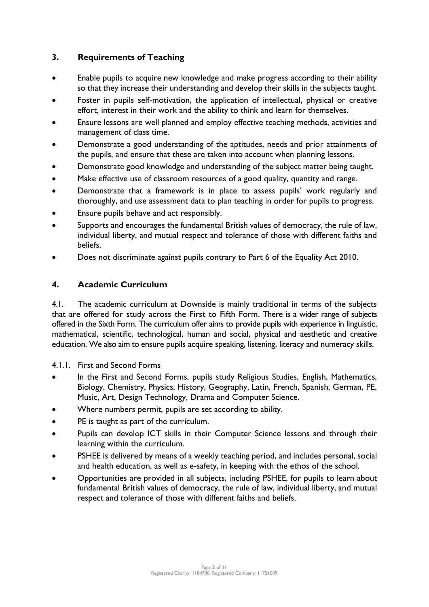# **3. Requirements of Teaching**

- Enable pupils to acquire new knowledge and make progress according to their ability so that they increase their understanding and develop their skills in the subjects taught.
- Foster in pupils self-motivation, the application of intellectual, physical or creative effort, interest in their work and the ability to think and learn for themselves.
- Ensure lessons are well planned and employ effective teaching methods, activities and management of class time.
- Demonstrate a good understanding of the aptitudes, needs and prior attainments of the pupils, and ensure that these are taken into account when planning lessons.
- Demonstrate good knowledge and understanding of the subject matter being taught.
- Make effective use of classroom resources of a good quality, quantity and range.
- Demonstrate that a framework is in place to assess pupils' work regularly and thoroughly, and use assessment data to plan teaching in order for pupils to progress.
- Ensure pupils behave and act responsibly.
- Supports and encourages the fundamental British values of democracy, the rule of law, individual liberty, and mutual respect and tolerance of those with different faiths and beliefs.
- Does not discriminate against pupils contrary to Part 6 of the Equality Act 2010.

# **4. Academic Curriculum**

4.1. The academic curriculum at Downside is mainly traditional in terms of the subjects that are offered for study across the First to Fifth Form. There is a wider range of subjects offered in the Sixth Form. The curriculum offer aims to provide pupils with experience in linguistic, mathematical, scientific, technological, human and social, physical and aesthetic and creative education. We also aim to ensure pupils acquire speaking, listening, literacy and numeracy skills.

4.1.1. First and Second Forms

- In the First and Second Forms, pupils study Religious Studies, English, Mathematics, Biology, Chemistry, Physics, History, Geography, Latin, French, Spanish, German, PE, Music, Art, Design Technology, Drama and Computer Science.
- Where numbers permit, pupils are set according to ability.
- PE is taught as part of the curriculum.
- Pupils can develop ICT skills in their Computer Science lessons and through their learning within the curriculum.
- PSHEE is delivered by means of a weekly teaching period, and includes personal, social and health education, as well as e-safety, in keeping with the ethos of the school.
- Opportunities are provided in all subjects, including PSHEE, for pupils to learn about fundamental British values of democracy, the rule of law, individual liberty, and mutual respect and tolerance of those with different faiths and beliefs.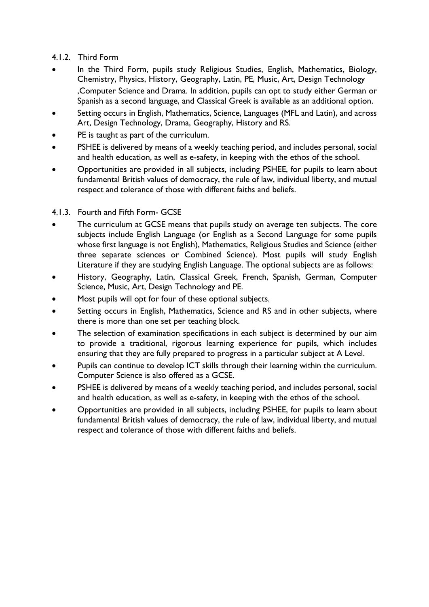# 4.1.2. Third Form

- In the Third Form, pupils study Religious Studies, English, Mathematics, Biology, Chemistry, Physics, History, Geography, Latin, PE, Music, Art, Design Technology ,Computer Science and Drama. In addition, pupils can opt to study either German or Spanish as a second language, and Classical Greek is available as an additional option.
- Setting occurs in English, Mathematics, Science, Languages (MFL and Latin), and across Art, Design Technology, Drama, Geography, History and RS.
- PE is taught as part of the curriculum.
- PSHEE is delivered by means of a weekly teaching period, and includes personal, social and health education, as well as e-safety, in keeping with the ethos of the school.
- Opportunities are provided in all subjects, including PSHEE, for pupils to learn about fundamental British values of democracy, the rule of law, individual liberty, and mutual respect and tolerance of those with different faiths and beliefs.

# 4.1.3. Fourth and Fifth Form- GCSE

- The curriculum at GCSE means that pupils study on average ten subjects. The core subjects include English Language (or English as a Second Language for some pupils whose first language is not English), Mathematics, Religious Studies and Science (either three separate sciences or Combined Science). Most pupils will study English Literature if they are studying English Language. The optional subjects are as follows:
- History, Geography, Latin, Classical Greek, French, Spanish, German, Computer Science, Music, Art, Design Technology and PE.
- Most pupils will opt for four of these optional subjects.
- Setting occurs in English, Mathematics, Science and RS and in other subjects, where there is more than one set per teaching block.
- The selection of examination specifications in each subject is determined by our aim to provide a traditional, rigorous learning experience for pupils, which includes ensuring that they are fully prepared to progress in a particular subject at A Level.
- Pupils can continue to develop ICT skills through their learning within the curriculum. Computer Science is also offered as a GCSE.
- PSHEE is delivered by means of a weekly teaching period, and includes personal, social and health education, as well as e-safety, in keeping with the ethos of the school.
- Opportunities are provided in all subjects, including PSHEE, for pupils to learn about fundamental British values of democracy, the rule of law, individual liberty, and mutual respect and tolerance of those with different faiths and beliefs.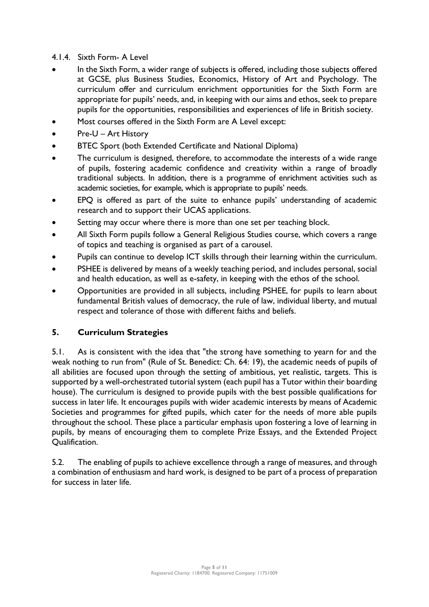## 4.1.4. Sixth Form- A Level

- In the Sixth Form, a wider range of subjects is offered, including those subjects offered at GCSE, plus Business Studies, Economics, History of Art and Psychology. The curriculum offer and curriculum enrichment opportunities for the Sixth Form are appropriate for pupils' needs, and, in keeping with our aims and ethos, seek to prepare pupils for the opportunities, responsibilities and experiences of life in British society.
- Most courses offered in the Sixth Form are A Level except:
- Pre-U Art History
- BTEC Sport (both Extended Certificate and National Diploma)
- The curriculum is designed, therefore, to accommodate the interests of a wide range of pupils, fostering academic confidence and creativity within a range of broadly traditional subjects. In addition, there is a programme of enrichment activities such as academic societies, for example, which is appropriate to pupils' needs.
- EPQ is offered as part of the suite to enhance pupils' understanding of academic research and to support their UCAS applications.
- Setting may occur where there is more than one set per teaching block.
- All Sixth Form pupils follow a General Religious Studies course, which covers a range of topics and teaching is organised as part of a carousel.
- Pupils can continue to develop ICT skills through their learning within the curriculum.
- PSHEE is delivered by means of a weekly teaching period, and includes personal, social and health education, as well as e-safety, in keeping with the ethos of the school.
- Opportunities are provided in all subjects, including PSHEE, for pupils to learn about fundamental British values of democracy, the rule of law, individual liberty, and mutual respect and tolerance of those with different faiths and beliefs.

# **5. Curriculum Strategies**

5.1. As is consistent with the idea that "the strong have something to yearn for and the weak nothing to run from" (Rule of St. Benedict: Ch. 64: 19), the academic needs of pupils of all abilities are focused upon through the setting of ambitious, yet realistic, targets. This is supported by a well-orchestrated tutorial system (each pupil has a Tutor within their boarding house). The curriculum is designed to provide pupils with the best possible qualifications for success in later life. It encourages pupils with wider academic interests by means of Academic Societies and programmes for gifted pupils, which cater for the needs of more able pupils throughout the school. These place a particular emphasis upon fostering a love of learning in pupils, by means of encouraging them to complete Prize Essays, and the Extended Project Qualification.

5.2. The enabling of pupils to achieve excellence through a range of measures, and through a combination of enthusiasm and hard work, is designed to be part of a process of preparation for success in later life.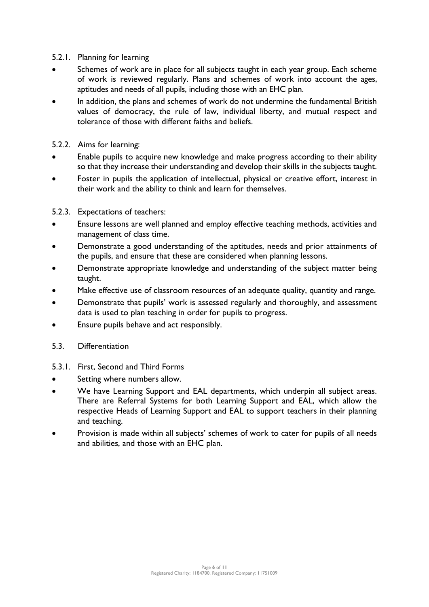## 5.2.1. Planning for learning

- Schemes of work are in place for all subjects taught in each year group. Each scheme of work is reviewed regularly. Plans and schemes of work into account the ages, aptitudes and needs of all pupils, including those with an EHC plan.
- In addition, the plans and schemes of work do not undermine the fundamental British values of democracy, the rule of law, individual liberty, and mutual respect and tolerance of those with different faiths and beliefs.

## 5.2.2. Aims for learning:

- Enable pupils to acquire new knowledge and make progress according to their ability so that they increase their understanding and develop their skills in the subjects taught.
- Foster in pupils the application of intellectual, physical or creative effort, interest in their work and the ability to think and learn for themselves.

## 5.2.3. Expectations of teachers:

- Ensure lessons are well planned and employ effective teaching methods, activities and management of class time.
- Demonstrate a good understanding of the aptitudes, needs and prior attainments of the pupils, and ensure that these are considered when planning lessons.
- Demonstrate appropriate knowledge and understanding of the subject matter being taught.
- Make effective use of classroom resources of an adequate quality, quantity and range.
- Demonstrate that pupils' work is assessed regularly and thoroughly, and assessment data is used to plan teaching in order for pupils to progress.
- Ensure pupils behave and act responsibly.
- 5.3. Differentiation
- 5.3.1. First, Second and Third Forms
- Setting where numbers allow.
- We have Learning Support and EAL departments, which underpin all subject areas. There are Referral Systems for both Learning Support and EAL, which allow the respective Heads of Learning Support and EAL to support teachers in their planning and teaching.
- Provision is made within all subjects' schemes of work to cater for pupils of all needs and abilities, and those with an EHC plan.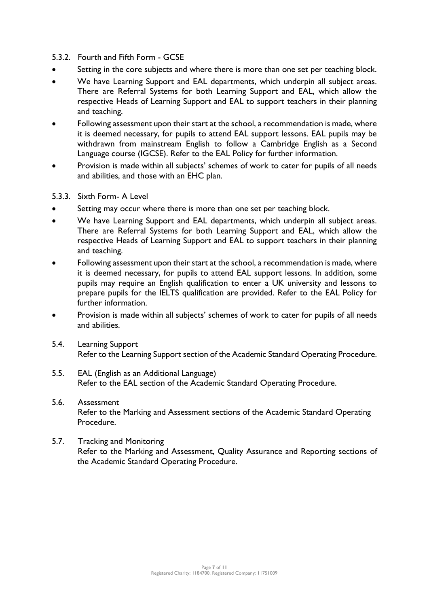## 5.3.2. Fourth and Fifth Form - GCSE

- Setting in the core subjects and where there is more than one set per teaching block.
- We have Learning Support and EAL departments, which underpin all subject areas. There are Referral Systems for both Learning Support and EAL, which allow the respective Heads of Learning Support and EAL to support teachers in their planning and teaching.
- Following assessment upon their start at the school, a recommendation is made, where it is deemed necessary, for pupils to attend EAL support lessons. EAL pupils may be withdrawn from mainstream English to follow a Cambridge English as a Second Language course (IGCSE). Refer to the EAL Policy for further information.
- Provision is made within all subjects' schemes of work to cater for pupils of all needs and abilities, and those with an EHC plan.

## 5.3.3. Sixth Form- A Level

- Setting may occur where there is more than one set per teaching block.
- We have Learning Support and EAL departments, which underpin all subject areas. There are Referral Systems for both Learning Support and EAL, which allow the respective Heads of Learning Support and EAL to support teachers in their planning and teaching.
- Following assessment upon their start at the school, a recommendation is made, where it is deemed necessary, for pupils to attend EAL support lessons. In addition, some pupils may require an English qualification to enter a UK university and lessons to prepare pupils for the IELTS qualification are provided. Refer to the EAL Policy for further information.
- Provision is made within all subjects' schemes of work to cater for pupils of all needs and abilities.
- 5.4. Learning Support Refer to the Learning Support section of the Academic Standard Operating Procedure.
- 5.5. EAL (English as an Additional Language) Refer to the EAL section of the Academic Standard Operating Procedure.

# 5.6. Assessment Refer to the Marking and Assessment sections of the Academic Standard Operating Procedure.

## 5.7. Tracking and Monitoring Refer to the Marking and Assessment, Quality Assurance and Reporting sections of the Academic Standard Operating Procedure.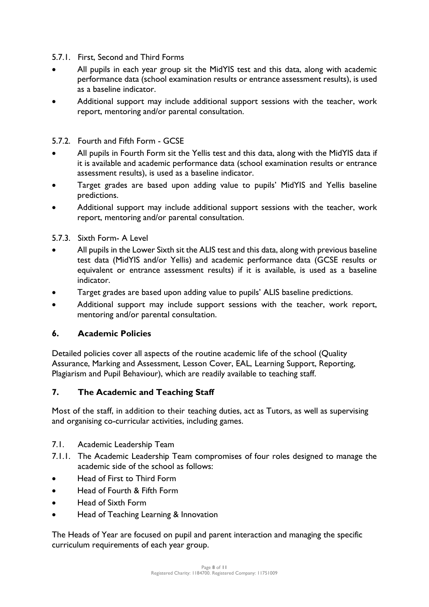- 5.7.1. First, Second and Third Forms
- All pupils in each year group sit the MidYIS test and this data, along with academic performance data (school examination results or entrance assessment results), is used as a baseline indicator.
- Additional support may include additional support sessions with the teacher, work report, mentoring and/or parental consultation.

# 5.7.2. Fourth and Fifth Form - GCSE

- All pupils in Fourth Form sit the Yellis test and this data, along with the MidYIS data if it is available and academic performance data (school examination results or entrance assessment results), is used as a baseline indicator.
- Target grades are based upon adding value to pupils' MidYIS and Yellis baseline predictions.
- Additional support may include additional support sessions with the teacher, work report, mentoring and/or parental consultation.

5.7.3. Sixth Form- A Level

- All pupils in the Lower Sixth sit the ALIS test and this data, along with previous baseline test data (MidYIS and/or Yellis) and academic performance data (GCSE results or equivalent or entrance assessment results) if it is available, is used as a baseline indicator.
- Target grades are based upon adding value to pupils' ALIS baseline predictions.
- Additional support may include support sessions with the teacher, work report, mentoring and/or parental consultation.

#### **6. Academic Policies**

Detailed policies cover all aspects of the routine academic life of the school (Quality Assurance, Marking and Assessment, Lesson Cover, EAL, Learning Support, Reporting, Plagiarism and Pupil Behaviour), which are readily available to teaching staff.

# **7. The Academic and Teaching Staff**

Most of the staff, in addition to their teaching duties, act as Tutors, as well as supervising and organising co-curricular activities, including games.

#### 7.1. Academic Leadership Team

- 7.1.1. The Academic Leadership Team compromises of four roles designed to manage the academic side of the school as follows:
- Head of First to Third Form
- Head of Fourth & Fifth Form
- Head of Sixth Form
- Head of Teaching Learning & Innovation

The Heads of Year are focused on pupil and parent interaction and managing the specific curriculum requirements of each year group.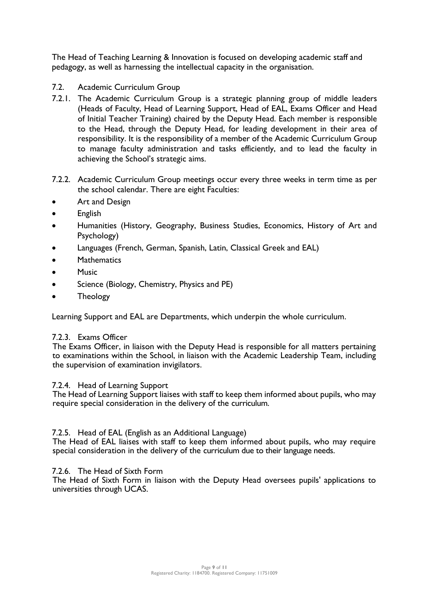The Head of Teaching Learning & Innovation is focused on developing academic staff and pedagogy, as well as harnessing the intellectual capacity in the organisation.

# 7.2. Academic Curriculum Group

- 7.2.1. The Academic Curriculum Group is a strategic planning group of middle leaders (Heads of Faculty, Head of Learning Support, Head of EAL, Exams Officer and Head of Initial Teacher Training) chaired by the Deputy Head. Each member is responsible to the Head, through the Deputy Head, for leading development in their area of responsibility. It is the responsibility of a member of the Academic Curriculum Group to manage faculty administration and tasks efficiently, and to lead the faculty in achieving the School's strategic aims.
- 7.2.2. Academic Curriculum Group meetings occur every three weeks in term time as per the school calendar. There are eight Faculties:
- Art and Design
- English
- Humanities (History, Geography, Business Studies, Economics, History of Art and Psychology)
- Languages (French, German, Spanish, Latin, Classical Greek and EAL)
- **Mathematics**
- Music
- Science (Biology, Chemistry, Physics and PE)
- Theology

Learning Support and EAL are Departments, which underpin the whole curriculum.

# 7.2.3. Exams Officer

The Exams Officer, in liaison with the Deputy Head is responsible for all matters pertaining to examinations within the School, in liaison with the Academic Leadership Team, including the supervision of examination invigilators.

#### 7.2.4. Head of Learning Support

The Head of Learning Support liaises with staff to keep them informed about pupils, who may require special consideration in the delivery of the curriculum.

#### 7.2.5. Head of EAL (English as an Additional Language)

The Head of EAL liaises with staff to keep them informed about pupils, who may require special consideration in the delivery of the curriculum due to their language needs.

# 7.2.6. The Head of Sixth Form

The Head of Sixth Form in liaison with the Deputy Head oversees pupils' applications to universities through UCAS.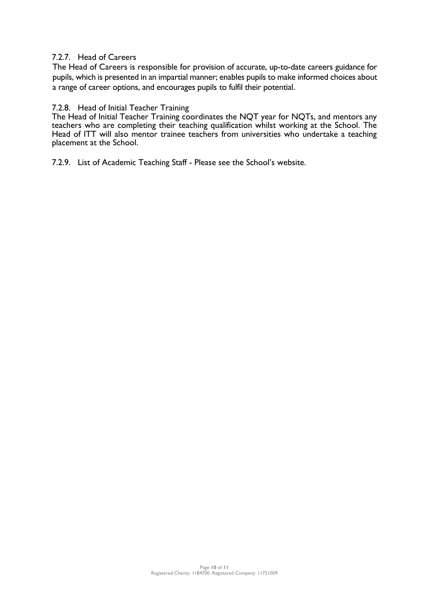## 7.2.7. Head of Careers

The Head of Careers is responsible for provision of accurate, up-to-date careers guidance for pupils, which is presented in an impartial manner; enables pupils to make informed choices about a range of career options, and encourages pupils to fulfil their potential.

#### 7.2.8. Head of Initial Teacher Training

The Head of Initial Teacher Training coordinates the NQT year for NQTs, and mentors any teachers who are completing their teaching qualification whilst working at the School. The Head of ITT will also mentor trainee teachers from universities who undertake a teaching placement at the School.

7.2.9. List of Academic Teaching Staff - Please see the School's website.